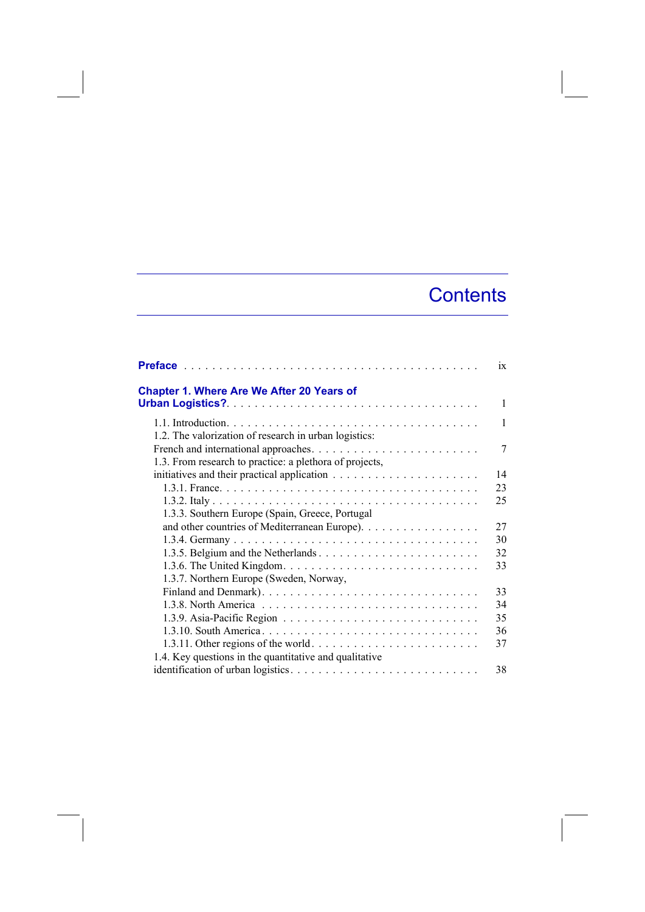## **Contents**

|                                                         | $\overline{1}X$ |
|---------------------------------------------------------|-----------------|
| Chapter 1. Where Are We After 20 Years of               |                 |
|                                                         | $\mathbf{1}$    |
|                                                         | $\mathbf{1}$    |
| 1.2. The valorization of research in urban logistics:   |                 |
|                                                         | 7               |
| 1.3. From research to practice: a plethora of projects, |                 |
|                                                         | 14              |
|                                                         | 23              |
|                                                         | 25              |
| 1.3.3. Southern Europe (Spain, Greece, Portugal         |                 |
| and other countries of Mediterranean Europe).           | 27              |
|                                                         | 30              |
|                                                         | 32              |
|                                                         | 33              |
| 1.3.7. Northern Europe (Sweden, Norway,                 |                 |
|                                                         | 33              |
|                                                         | 34              |
|                                                         | 35              |
|                                                         | 36              |
|                                                         | 37              |
| 1.4. Key questions in the quantitative and qualitative  |                 |
|                                                         | 38              |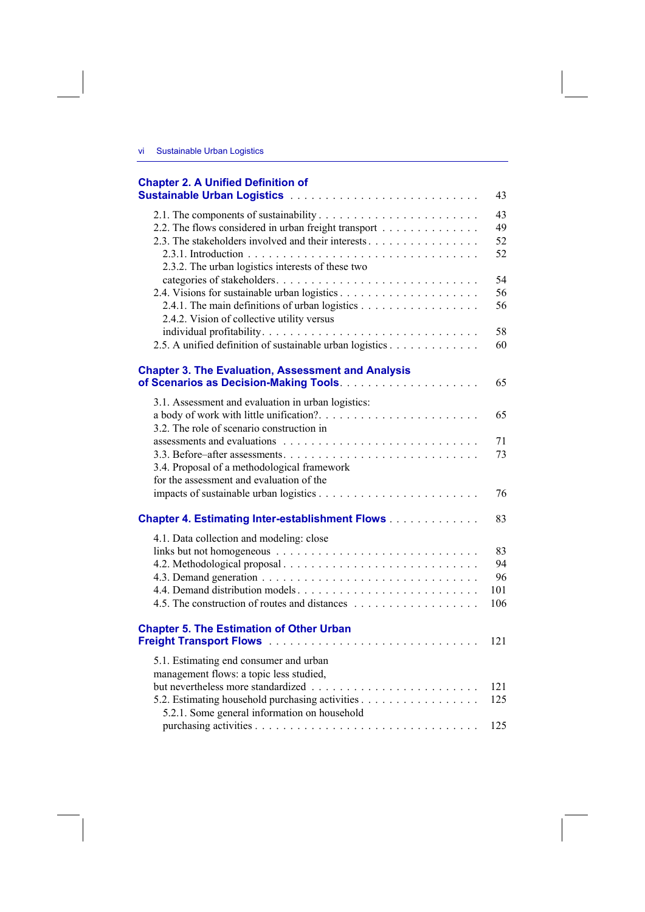## **Chapter 2. A Unified Definition of**

|                                                                                                                                                                                      | 43                           |
|--------------------------------------------------------------------------------------------------------------------------------------------------------------------------------------|------------------------------|
| 2.2. The flows considered in urban freight transport<br>2.3. The stakeholders involved and their interests<br>2.3.2. The urban logistics interests of these two                      | 43<br>49<br>52<br>52         |
| 2.4.1. The main definitions of urban logistics<br>2.4.2. Vision of collective utility versus                                                                                         | 54<br>56<br>56<br>58         |
| 2.5. A unified definition of sustainable urban logistics<br><b>Chapter 3. The Evaluation, Assessment and Analysis</b>                                                                | 60<br>65                     |
| 3.1. Assessment and evaluation in urban logistics:                                                                                                                                   | 65                           |
| 3.2. The role of scenario construction in<br>3.4. Proposal of a methodological framework<br>for the assessment and evaluation of the                                                 | 71<br>73                     |
|                                                                                                                                                                                      | 76                           |
| Chapter 4. Estimating Inter-establishment Flows                                                                                                                                      | 83                           |
| 4.1. Data collection and modeling: close                                                                                                                                             | 83<br>94<br>96<br>101<br>106 |
| <b>Chapter 5. The Estimation of Other Urban</b>                                                                                                                                      | 121                          |
| 5.1. Estimating end consumer and urban<br>management flows: a topic less studied,<br>5.2. Estimating household purchasing activities<br>5.2.1. Some general information on household | 121<br>125<br>125            |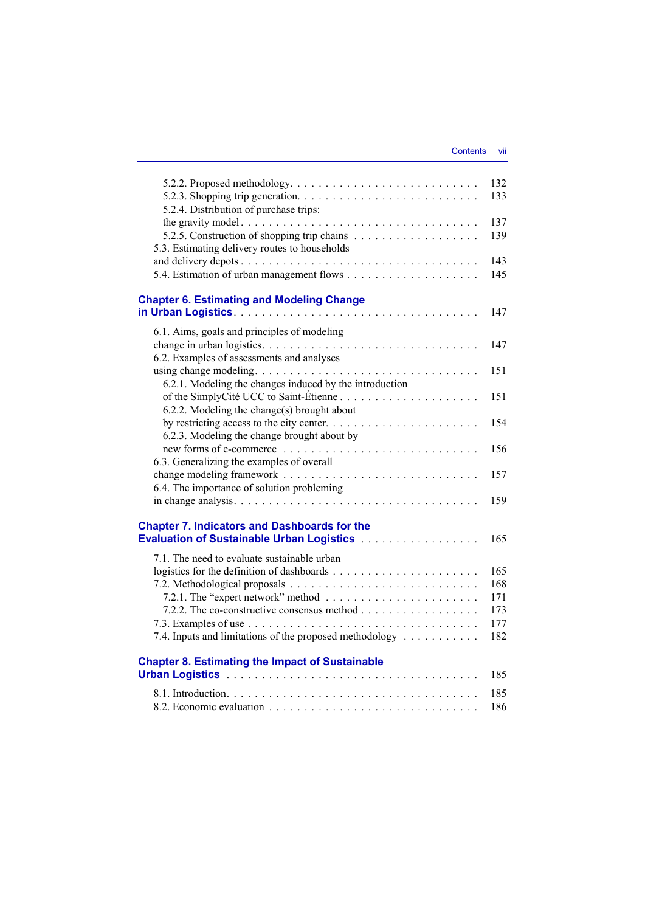| 5.2.2. Proposed methodology. $\dots \dots \dots \dots \dots \dots \dots \dots \dots \dots$<br>5.2.4. Distribution of purchase trips: | 132<br>133 |
|--------------------------------------------------------------------------------------------------------------------------------------|------------|
| the gravity model                                                                                                                    | 137        |
|                                                                                                                                      | 139        |
| 5.3. Estimating delivery routes to households                                                                                        |            |
|                                                                                                                                      | 143        |
|                                                                                                                                      | 145        |
| <b>Chapter 6. Estimating and Modeling Change</b>                                                                                     | 147        |
| 6.1. Aims, goals and principles of modeling                                                                                          |            |
|                                                                                                                                      | 147        |
| 6.2. Examples of assessments and analyses                                                                                            |            |
|                                                                                                                                      | 151        |
| 6.2.1. Modeling the changes induced by the introduction                                                                              |            |
| of the SimplyCité UCC to Saint-Étienne                                                                                               | 151        |
| 6.2.2. Modeling the change(s) brought about                                                                                          |            |
| by restricting access to the city center. $\dots \dots \dots \dots \dots \dots \dots \dots$                                          | 154        |
| 6.2.3. Modeling the change brought about by                                                                                          |            |
|                                                                                                                                      | 156        |
| 6.3. Generalizing the examples of overall                                                                                            |            |
|                                                                                                                                      | 157        |
| 6.4. The importance of solution probleming                                                                                           |            |
|                                                                                                                                      | 159        |
| <b>Chapter 7. Indicators and Dashboards for the</b>                                                                                  |            |
|                                                                                                                                      | 165        |
| 7.1. The need to evaluate sustainable urban                                                                                          |            |
|                                                                                                                                      | 165        |
|                                                                                                                                      | 168        |
|                                                                                                                                      | 171        |
|                                                                                                                                      | 173        |
|                                                                                                                                      | 177        |
| 7.4. Inputs and limitations of the proposed methodology                                                                              | 182        |
|                                                                                                                                      |            |
| <b>Chapter 8. Estimating the Impact of Sustainable</b>                                                                               | 185        |
|                                                                                                                                      |            |
|                                                                                                                                      | 185        |
|                                                                                                                                      | 186        |